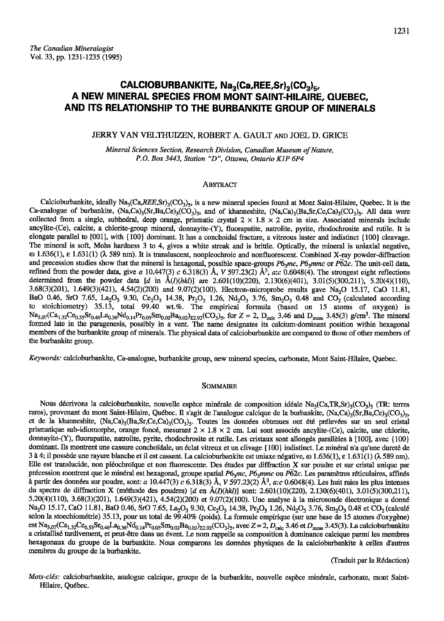# CALCIOBURBANKITE, Na<sub>3</sub>(Ca,REE,Sr)<sub>3</sub>(CO<sub>3</sub>)<sub>5</sub>, A NEW MINERAL SPECIES FROM MONT SAINT-HILAIRE, QUEBEC, AND ITS RELATIONSHIP TO THE BURBANKITE GROUP OF MINERALS

# JERRY VAN VELTHUIZEN, ROBERT A. GAULT AND JOEL D. GRICE

Mineral Sciences Section, Research Division, Canadian Museum of Nature, P.O. Box 3443, Station "D", Ottawa, Ontario K1P 6P4

## **ABSTRACT**

Calcioburbankite, ideally Na<sub>3</sub>(Ca,REE,Sr)<sub>3</sub>(CO<sub>3</sub>)<sub>5</sub>, is a new mineral species found at Mont Saint-Hilaire, Quebec. It is the Ca-analogue of burbankite,  $(Na,Ca)_{3}(Sr,Ba,Cc)_{3}(CO_{3})_{5}$ , and of khanneshite,  $(Na,Ca)_{3}(Ba,Sr,Cc,Ca)_{3}(CO_{3})_{5}$ . All data were collected from a single, subhedral, deep orange, prismatic crystal  $2 \times 1.8 \times 2$  cm in size. Associated minerals include ancylite-(Ce), calcite, a chlorite-group mineral, donnayite-(Y), fluorapatite, natrolite, pyrite, rhodochrosite and rutile. It is elongate parallel to [001], with {100} dominant. It has a conchoidal fracture, a vitreous luster and indistinct {100} cleavage. The mineral is soft, Mohs hardness 3 to 4, gives a white streak and is brittle. Optically, the mineral is uniaxial negative,  $\omega$  1.636(1),  $\varepsilon$  1.631(1) ( $\lambda$  589 nm). It is transluscent, nonpleochroic and nonfluorescent. Combined X-ray powder-diffraction and precession studies show that the mineral is hexagonal, possible space-groups  $P6_2mc$ ,  $P6_3mmc$  or  $P62c$ . The unit-cell data, refined from the powder data, give a 10.447(3) c 6.318(3) Å, V 597.23(2) Å<sup>3</sup>, a:c 0.6048(4). The strongest eight reflections determined from the powder data [d in  $\hat{A}(I)(hk)$ ] are 2.601(10)(220), 2.130(6)(401), 3.01(5)(300,211), 5.20(4)(110), 3.68(3)(201), 1.649(3)(421), 4.54(2)(200) and 9.07(2)(100). Electron-microprobe results gave Na<sub>2</sub>O 15.17, CaO 11.81, BaO 0.46, SrO 7.65, La<sub>2</sub>O<sub>3</sub> 9.30, Ce<sub>2</sub>O<sub>3</sub> 14.38, Pr<sub>2</sub>O<sub>3</sub> 1.26, Nd<sub>2</sub>O<sub>3</sub> 3.76, Sm<sub>2</sub>O<sub>3</sub> 0.48 and CO<sub>2</sub> (calculated according to stoichiometry) 35.13, total 99.40 wt.%. The empirical formula (based on 15 atoms of oxygen) is  $\text{Na}_{3.07}$ (Ca<sub>1.32</sub>Ce<sub>0.55</sub>Sr<sub>0.46</sub>La<sub>0.36</sub>Nd<sub>0.14</sub>Pr<sub>0.05</sub>Sm<sub>0.02</sub>Ba<sub>0.02</sub>)<sub>z2.92</sub>(CO<sub>3</sub>)<sub>5</sub>, for Z = 2, D<sub>calc</sub> 3.46 and D<sub>meas</sub> 3.45(3) g/cm<sup>3</sup>. The mineral formed late in the paragenesis, possibly in a vent. The name designates its calcium-dominant position within hexagonal members of the burbankite group of minerals. The physical data of calcioburbankite are compared to those of other members of the burbankite group.

Keywords: calcioburbankite, Ca-analogue, burbankite group, new mineral species, carbonate, Mont Saint-Hilaire, Quebec.

#### **SOMMAIRE**

Nous décrivons la calcioburbankite, nouvelle espèce minérale de composition idéale Na<sub>3</sub>(Ca,TR,Sr)<sub>3</sub>(CO<sub>3</sub>)<sub>5</sub> (TR: terres rares), provenant du mont Saint-Hilaire, Québec. Il s'agit de l'analogue calcique de la burbankite, (Na,Ca)<sub>3</sub>(Sr,Ba,Ce)<sub>3</sub>(CO<sub>3</sub>)<sub>5</sub>, et de la khanneshite, (Na,Ca)<sub>3</sub>(Ba,Sr,Ce,Ca)<sub>3</sub>(CO<sub>3</sub>)<sub>5</sub>. Toutes les données obtenues ont été prélevées sur un seul cristal prismatique sub-idiomorphe, orange foncé, mesurant  $2 \times 1.8 \times 2$  cm. Lui sont associés ancylite-(Ce), calcite, une chlorite, donnayite-(Y), fluorapatite, natrolite, pyrite, rhodochrosite et rutile. Les cristaux sont allongés parallèles à [100], avec {100} dominant. Ils montrent une cassure conchoïdale, un éclat vitreux et un clivage {100} indistinct. Le minéral n'a qu'une dureté de 3 à 4; il possède une rayure blanche et il est cassant. La calcioburbankite est uniaxe négative, ω 1.636(1), ε 1.631(1) ( $\lambda$  589 nm). Elle est translucide, non pléochroïque et non fluorescente. Des études par diffraction X sur poudre et sur cristal unique par précession montrent que le minéral est hexagonal, groupe spatial  $P6<sub>3</sub>m$ c,  $P6<sub>3</sub>mmc$  ou  $P62c$ . Les paramètres réticulaires, affinés à partir des données sur poudre, sont: a 10.447(3) c 6.318(3) Å, V 597.23(2) Å<sup>3</sup>, a:c 0.6048(4). Les huit raies les plus intenses du spectre de diffraction X (méthode des poudres) [d en  $\AA(D(hkl))$  sont: 2.601(10)(220), 2.130(6)(401), 3.01(5)(300,211),  $5.20(4)(110)$ ,  $3.68(3)(201)$ ,  $1.649(3)(421)$ ,  $4.54(2)(200)$  et  $9.07(2)(100)$ . Une analyse à la microsonde électronique a donné Na<sub>2</sub>O 15.17, CaO 11.81, BaO 0.46, SrO 7.65, La<sub>2</sub>O<sub>3</sub> 9.30, Ce<sub>2</sub>O<sub>3</sub> 14.38, Pr<sub>2</sub>O<sub>3</sub> 1.26, Nd<sub>2</sub>O<sub>3</sub> 3.76, Sm<sub>2</sub>O<sub>3</sub> 0.48 et CO<sub>2</sub> (calculé selon la stoechiométrie) 35.13, pour un total de 99.40% (poids). La formule empirique (sur une base de 15 atomes d'oxygène) est Na<sub>3.07</sub>(Ca<sub>1.32</sub>Ce<sub>0.55</sub>Sr<sub>0.46</sub>La<sub>0.36</sub>Nd<sub>0.14</sub>Pr<sub>0.05</sub>Sm<sub>0.02</sub>Ba<sub>0.02</sub>)<sub>22.92</sub>(CO<sub>3</sub>)<sub>5</sub>, avec Z = 2, D<sub>calc</sub> 3.46 et D<sub>meas</sub> 3.45(3). La calcioburbankite a cristallisé tardivement, et peut-être dans un évent. Le nom rappelle sa composition à dominance calcique parmi les membres hexagonaux du groupe de la burbankite. Nous comparons les données physiques de la calcioburbankite à celles d'autres membres du groupe de la burbankite.

(Traduit par la Rédaction)

Mots-clés: calcioburbankite, analogue calcique, groupe de la burbankite, nouvelle espèce minérale, carbonate, mont Saint-Hilaire, Québec.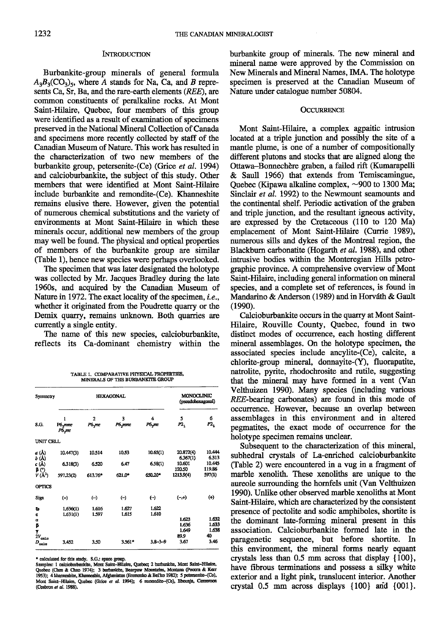## **INTRODUCTION**

Burbankite-group minerals of general formula  $A_3B_3(CO_3)$ <sub>5</sub>, where A stands for Na, Ca, and B represents Ca, Sr, Ba, and the rare-earth elements (REE), are common constituents of peralkaline rocks. At Mont Saint-Hilaire, Quebec, four members of this group were identified as a result of examination of specimens preserved in the National Mineral Collection of Canada and specimens more recently collected by staff of the Canadian Museum of Nature. This work has resulted in the characterization of two new members of the burbankite group, petersenite-(Ce) (Grice et al. 1994) and calcioburbankite, the subject of this study. Other members that were identified at Mont Saint-Hilaire include burbankite and remondite-(Ce). Khanneshite remains elusive there. However, given the potential of numerous chemical substitutions and the variety of environments at Mont Saint-Hilaire in which these minerals occur, additional new members of the group may well be found. The physical and optical properties of members of the burbankite group are similar Cfable 1), hence new species were perhaps overlooked.

The specimen that was later designated the holotype was collected by Mr. Jacques Bradley during the late 1960s, and acquired by the Canadian Museum of Nature in 1972. The exact locality of the specimen, i.e., whether it originated from the Poudrette quarry or the Demix quarry, remains unknown. Both quarries are currently a single entity.

The name of this new species, calcioburbankite, reflects its Ca-dominant chemistrv within the

TABLE 1. COMPARATIVE PHYSICAL PROPERTIES. MINERALS OF THE BURBANKITE GROUP

| Symmetry                             |                                   | <b>HEXAGONAL</b>         | MONOCLINIC<br>(pseudohexagonal) |                           |                                 |                               |  |
|--------------------------------------|-----------------------------------|--------------------------|---------------------------------|---------------------------|---------------------------------|-------------------------------|--|
| S.G.                                 | ı<br>P6 <sub>x</sub> mmc<br>P6.mc | $\mathbf{2}$<br>$P6_3mc$ | 3<br>P6 <sub>3</sub> mmc        | 4<br>$P6$ <sub>3</sub> mc | 5<br>P2,                        | 6<br>$P2_{1}$                 |  |
| UNIT CELL                            |                                   |                          |                                 |                           |                                 |                               |  |
| a (Å)<br>b (Å)                       | 10.447(3)                         | 10.514                   | 10.53                           | 10.65(1)                  | 20.872(4)<br>6.367(1)           | 10.444<br>6.313               |  |
| c (Å)<br>$\beta$ (°)                 | 6.318(3)                          | 6.520                    | 6.47                            | 6.58(1)                   | 10.601<br>120.50                | 10.445<br>119.86              |  |
| $V(A^3)$                             | 597,23(2)                         | 613.76*                  | 621.0*                          | 650.20*                   | 1213.9(4)                       | 597(1)                        |  |
| <b>OPTICS</b>                        |                                   |                          |                                 |                           |                                 |                               |  |
| Sign                                 | $(-)$                             | $(-)$                    | $(-)$                           | $(\lnot)$                 | $(-,+)$                         | $^{(+)}$                      |  |
| ъ                                    | 1,636(1)                          | 1.616                    | 1.627                           | 1.622                     |                                 |                               |  |
| a<br>α<br>β<br>Y<br>$2V_{\rm{calc}}$ | 1.631(1)                          | 1.597                    | 1.615                           | 1.610                     | 1.623<br>1.636<br>1.649<br>89.9 | 1.632<br>1.633<br>1,638<br>40 |  |
| $D_{\rm{calc}}$                      | 3.452                             | 3.50                     | 3.561*                          | $3.8 - 3 - 9$             | 3.67                            | 3.46                          |  |

\* calculated for this study. S.G.: space group.<br>Samples: 1 calcioburbankite, Mont Saint-Hilaire, Quebec; 2 burbankite, Mont Saint-Hil Quebec (Chen & Chao 1974); 3 burbankite, Bearpaw Monntains, Montana (Pecora & Kea<br>1953); 4 khamneshite, Khamneshin, Afghanistan (Eremenko & Bel'ko 1982); 5 petersenite-(Cc) Mont Saint-Hilaire, Quebec (Grice et al. 1994); 6 remondite-(Ce), Ebounja, Cameroon (Cesbron et al. 1988).

burbankite group of minerals. The new mineral and mineral name were approved by the Commission on New Minerals and Mineral Names, IMA. The holotype specimen is preserved at the Canadian Museum of Nature under catalogue number 508M.

## **OCCURRENCE**

Mont Saint-Hilaire, a complex agpaitic intrusion located at a triple junction and possibly the site of a mantle plume, is one of a number of compositionally different plutons and stocks that are aligned along the Ottawa-Bonnechère graben, a failed rift (Kumarapelli & Saull 1966) that extends from Temiscamingue, Quebec (Kipawa alkaline complex,  $\sim$ 900 to 1300 Ma; Sinclair et al. 1992) to the Newmount seamounts and the continental shelf. Periodic activation of the graben and triple junction, and the resultant igneous activity, arc expressed by the Cretaceous (110 to 120 Ma) emplacement of Mont Saint-Hilaire (Currie 1989), nunerous sills and dykes of the Monfreal region, the Blackburn carbonatite (Hogarth et al. 1988), and other intrusive bodies within the Monteregian Hills petrographic province. A comprehensive overview of Mont Sainf-Hilairc, including general information on mineral species, and a complete set of references, is found in Mandarino & Anderson (1989) and in Horváth & Gault  $(1990).$ 

Calcioburbankite occurs in the quarry at Mont Saint-Hilaire, Rouville County, Quebec, found in two distinct modes of occurrence, each hosting different mineral assemblages. On the holotype specimen, the associated species include ancylite-(Ce), calcite, a chlorite-group mineral, donnayite-(Y), fluorapatite, natrolite, pyrite, rhodochrosite and rutile, suggesting that the mineral may have formed in a vent (Van Velthuizen 1990). Many species (including various REE-bearing carbonates) are found in this mode of occlurence. However, because an overlap between assemblages in this environment and in altered pegmatites, the exact mode of occurrence for the holotype specimen remains unclear.

Subsequent to the characterization of this mineral, subhedral crystals of La-enriched calcioburbankite (Table 2) were encountered in a vug in a fragment of marble xenolith. These xenoliths are unique to the aureole surrounding the homfels unit (Van Velthuizen 1990). Unlike other observed marble xenoliths at Mont Saint-Hilaire, which are characterized by the consistent presence of pectolite and sodic amphiboles, shortite is the dominant late-forming mineral present in this association. Calcioburbankite formed late in the paragenetic sequence, but before shortite. In this environment, the mineral forms nearly equant crystals less than  $0.5$  mm across that display  $\{100\}$ , have fibrous terminations and possess a silky white exterior and a light pink, translucent interior. Another crystal  $0.5$  mm across displays  $\{100\}$  and  $\{001\}$ .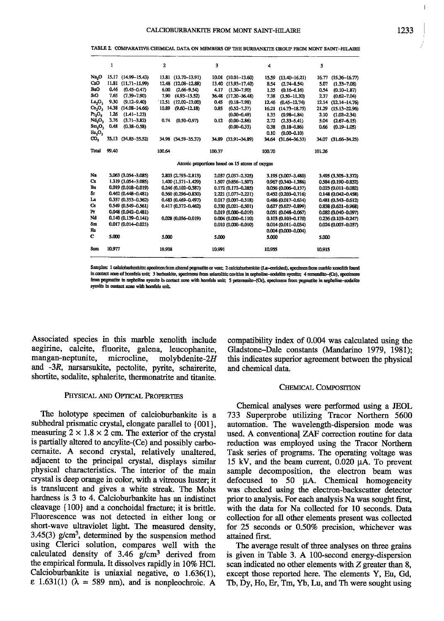|                                                | 1      |                        | $\overline{a}$ |                        | 3      |                        | 4      |                        | 5      |                        |
|------------------------------------------------|--------|------------------------|----------------|------------------------|--------|------------------------|--------|------------------------|--------|------------------------|
| Na <sub>2</sub> O                              | 15.17  | $(14.99 - 15.43)$      |                | 13.81 (13.70-13.91)    | 10.01  | $(10.01 - 13.60)$      | 15.59  | $(13, 40 - 16, 21)$    | 16.77  | $(15.36 - 16.77)$      |
| CaO                                            | 11.81  | $(11.71 - 11.99)$      | 12.48          | $(12.08 - 12.88)$      | 13.40  | $(13.93 - 17.40)$      | 8.54   | $(2.74 - 8.54)$        | 5.07   | $(1.33 - 7.08)$        |
| BaO                                            | 0.46   | $(0.45 - 0.47)$        | 6.00           | $(2.66 - 9.54)$        | 4.17   | $(1.30 - 7.90)$        | 1.35   | $(0.16 - 6.16)$        | 0.54   | $(0.10 - 1.87)$        |
| S:O                                            | 7.65   | $(7.39 - 7.90)$        | 7.90           | $(4.93 - 13.52)$       | 36.48  | $(17.20 - 36.48)$      | 7.38   | $(3.50 - 11.30)$       | 2.37   | $(0.62 - 7.04)$        |
| La <sub>2</sub> O <sub>3</sub>                 | 9.30   | $(9.12 - 9.40)$        | 12.51          | $(12,02 - 13,00)$      | 0.45   | $(0.18 - 7.98)$        | 12.46  | $(0.45 - 12.74)$       | 12.14  | $(12.14 - 14.76)$      |
| Ce <sub>2</sub> O <sub>3</sub>                 | 14.38  | $(14.08 - 14.66)$      | 10.89          | $(9.60 - 12.18)$       | 0.85   | $(0.52 - 7.37)$        | 16.21  | $(14.73 - 18.75)$      | 21.29  | $(15.13 - 22.96)$      |
| $Pr_2O_3$                                      | 1.26   | $(1.41 - 1.23)$        |                |                        |        | $(0.00 - 0.49)$        | 1.33   | $(0.98 - 1.84)$        | 2.10   | $(1.02 - 2.34)$        |
| Nd,O,                                          | 3.76   | $(3.71 - 3.82)$        | 0.74           | $(0.50 - 0.97)$        | 0.12   | $(0.00 - 2.86)$        | 2.72   | $(2.33 - 5.41)$        | 5.04   | $(2.67 - 6.15)$        |
| Sm,O,                                          | 0.48   | $(0.38 - 0.58)$        |                |                        |        | $(0.00 - 0.33)$        | 0.38   | $(0.18 - 0.86)$        | 0.66   | $(0.19 - 1.05)$        |
| En,O,                                          |        |                        |                |                        |        |                        | 0.10   | $(0.00 - 0.10)$        |        |                        |
| co,                                            | 35.13  | $(34.85 - 35.52)$      | 34.98          | $(34.59 - 35.37)$      | 34.89  | $(33.91 - 34.89)$      | 34.64  | $(31.64 - 36.33)$      | 34.07  | $(31.66 - 34.25)$      |
| Total                                          | 99.40  |                        | 100.64         |                        | 100.37 |                        | 100.70 |                        | 101.26 |                        |
| Atomic proportions based on 15 atoms of oxygen |        |                        |                |                        |        |                        |        |                        |        |                        |
| Na                                             |        | 3.063 (3.054-3.085)    |                | 2.803 (2.793-2.813)    |        | 2.037 (2.037-2.325)    |        | 3.195 (3.007-3.480)    |        | 3.495 (3.305-3.372)    |
| Ca                                             |        | 1.319 (3.054-3.085)    |                | 1.400 (1.371-1.429)    |        | 1.507 (0.856-1.507)    |        | 0.967 (0.340-1.286)    |        | 0.584 (0.190-0.832)    |
| Ba                                             |        | $0.019(0.018 - 0.019)$ |                | $0.246(0.102 - 0.387)$ |        | 0.172 (0.172-0.285)    |        | 0.056 (0.006-0.137)    |        | $0.023(0.011 - 0.082)$ |
| Sr                                             |        | $0.462(0.448 - 0.481)$ |                | 0.560 (0.296-0.830)    |        | 2.221 (1.077-2.221)    |        | 0.452 (0.203-0.716)    |        | 0.148 (0.042-0.458)    |
| La                                             |        | 0.357 (0.353-0.362)    |                | 0.483 (0.469-0.497)    |        | $0.017(0.007 - 0.318)$ |        | 0.486 (0.017-0.634)    |        | 0.481 (0.343-0.612)    |
| Ce                                             |        | 0.549 (0.549-0.561)    |                | 0.417 (0.372-0.462)    |        | $0.330(0.021 - 0.501)$ |        | $0.627(0.627 - 0.899)$ |        | $0.838(0.621 - 0.968)$ |
| Pr                                             |        | 0.048 (0.042-0.481)    |                |                        |        | 0.019 (0.000-0.019)    |        | 0.051 (0.048-0.067)    |        | $0.082(0.040 - 0.097)$ |
| Nd                                             |        | 0.140 (0.139-0.141)    |                | 0.028 (0.036-0.019)    |        | 0.004 (0.000-0.110)    |        | 0.103 (0.103-0.170)    |        | $0.236(0.103 - 0.247)$ |
| Sm                                             |        | $0.017(0.014 - 0.021)$ |                |                        |        | $0.010(0.000 - 0.010)$ |        | $0.014(0.011 - 0.034)$ |        | $0.024(0.007 - 0.037)$ |
| Еп                                             |        |                        |                |                        |        |                        |        | $0.004(0.000 - 0.004)$ |        |                        |
| с                                              | 5.000  |                        | 5.000          |                        | 5.000  |                        | 5.000  |                        | 5.000  |                        |
| Sım                                            | 10.977 |                        | 10.938         |                        | 10.991 |                        | 10.955 |                        | 10.915 |                        |

TABLE 2. COMPARATIVE CHEMICAL DATA ON MEMBERS OF THE BURBANKTTE GROUP FROM MONT SAINT-HILAIRE

Samples: 1 calcioburbankite: specimen from altered pegmatite or vent; 2 calcioburbankite (La-enriched), specimen from marble xenolith found in contact zone of homfels unit; 3 burbankite, specimens from miarolitic cavities in nepheline-sodalite syenite; 4 remondite-(Ce), specimens from pegmatite in nepheline syeuite in contact zone with homicls unit: 5 petersenite-(Ce), specimens from pegmatite in nepheline-sodalite syenite in contact zone with homfels mit.

Associated species in this marble xenolith include aegirine, calcite, fluorite, galena, leucophanite, mangan-neptunite, microcline. molybdenite- $2H$ and -3R, narsarsukite, pectolite, pyrite, schairerite, shortite, sodalite, sphalerite, thermonatrite and titanite.

# PHYSICAL AND OPTICAL PROPERTIES

The holotype specimen of calcioburbankite is a subhedral prismatic crystal, elongate parallel to {001}, measuring  $2 \times 1.8 \times 2$  cm. The exterior of the crystal is partially altered to ancylite-(Ce) and possibly carbocernaite. A second crystal, relatively unaltered. adjacent to the principal crystal, displays similar physical characteristics. The interior of the main crystal is deep orange in color, with a vitreous luster; it is translucent and gives a white streak. The Mohs hardness is 3 to 4. Calcioburbankite has an indistinct cleavage {100} and a conchoidal fracture: it is brittle. Fluorescence was not detected in either long or short-wave ultraviolet light. The measured density,  $3.45(3)$  g/cm<sup>3</sup>, determined by the suspension method using Clerici solution, compares well with the calculated density of 3.46 g/cm<sup>3</sup> derived from the empirical formula. It dissolves rapidly in 10% HCl. Calcioburbankite is uniaxial negative,  $\omega$  1.636(1),  $\epsilon$  1.631(1) ( $\lambda$  = 589 nm), and is nonpleochroic. A

compatibility index of 0.004 was calculated using the Gladstone–Dale constants (Mandarino 1979, 1981); this indicates superior agreement between the physical and chemical data.

#### CHEMICAL COMPOSITION

Chemical analyses were performed using a JEOL 733 Superprobe utilizing Tracor Northern 5600 automation. The wavelength-dispersion mode was used. A conventional ZAF correction routine for data reduction was employed using the Tracor Northern Task series of programs. The operating voltage was 15 kV, and the beam current, 0.020 µA. To prevent sample decomposition, the electron beam was defocused to  $50 \mu A$ . Chemical homogeneity was checked using the electron-backscatter detector prior to analysis. For each analysis Na was sought first. with the data for Na collected for 10 seconds. Data collection for all other elements present was collected for 25 seconds or 0.50% precision, whichever was attained first.

The average result of three analyses on three grains is given in Table 3. A 100-second energy-dispersion scan indicated no other elements with Z greater than 8, except those reported here. The elements Y, Eu, Gd, Tb, Dy, Ho, Er, Tm, Yb, Lu, and Th were sought using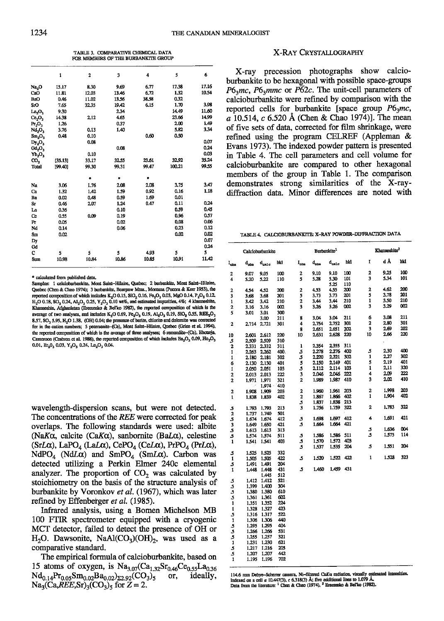TABLE 3. COMPARATIVE CHEMICAL DATA FOR MEMBERS OF THE BURBANKTIE GROUP

|                                | ı       | $\overline{2}$ | 3     | 4     | 5      | 6     |
|--------------------------------|---------|----------------|-------|-------|--------|-------|
| Na <sub>2</sub> O              | 15.17   | 8.30           | 9.69  | 6.77  | 17.38  | 17.16 |
| CaO                            | 11.81   | 12.03          | 13.46 | 6.72  | 1.32   | 10.54 |
| <b>BaO</b>                     | 0.46    | 11.02          | 13.56 | 38.58 | 0.32   |       |
| SrO                            | 7.65    | 32.35          | 19.42 | 6.15  | 1.70   | 3.98  |
| La,O,                          | 9.30    |                | 2.34  |       | 14.49  | 11.60 |
| Ce <sub>2</sub> O <sub>3</sub> | 14.38   | 2,12           | 4.65  |       | 23.66  | 14.99 |
| Pr <sub>2</sub> O <sub>3</sub> | 1.26    |                | 0.37  |       | 2.00   | 1.49  |
| Nd <sub>2</sub> O <sub>3</sub> | 3.76    | 0.13           | 1.40  |       | 5.82   | 3.34  |
| $Sm_2O_3$                      | 0.48    | 0.10           |       | 0.60  | 0.50   |       |
| $Dy_2O_3$                      |         | 0.08           |       |       |        | 0.07  |
| Gd,O,                          |         |                | 0.08  |       |        | 0.24  |
| Yb <sub>2</sub> O <sub>3</sub> |         | 0.10           |       |       |        | 0.03  |
| со,                            | [35.13] | 33.17          | 32.55 | 23.61 | 32.92  | 35.24 |
| Total                          | 199.401 | 99.30          | 99.31 | 99.47 | 100.21 | 99.55 |
|                                |         | ۰              | ۰     | ٠     |        |       |
| Na                             | 3.06    | 1.76           | 2.08  | 2.08  | 3.75   | 3.47  |
| Ca                             | 1.32    | 1.42           | 1.59  | 0.92  | 0.16   | 1.18  |
| Ba                             | 0.02    | 0.48           | 0.59  | 1.69  | 0.01   |       |
| Sr                             | 0.46    | 2.07           | 1.24  | 0.47  | 0.11   | 0.24  |
| La                             | 0.36    |                | 0.10  |       | 0.59   | 0.45  |
| Ce                             | 0.55    | 0.09           | 0.19  |       | 0.96   | 0.57  |
| Pr                             | 0.05    |                | 0.02  |       | 0.08   | 0.06  |
| Nd                             | 0.14    |                | 0.06  |       | 0.23   | 0.12  |
| S <sub>m</sub>                 | 0.02    |                |       |       | 0.02   | 0.02  |
| Dy                             |         |                |       |       |        | 0.07  |
| Gd                             |         |                |       |       |        | 0.24  |
| C                              | 5       | 5              | 5     | 4.93  | 5      | 5     |
| Sum.                           | 10.98   | 10.84          | 10.86 | 10.85 | 10.91  | 11.42 |
|                                |         |                |       |       |        |       |

\* calculated from published data.

Samples: 1 calciobarbankite, Mont Saint-Hilaire, Quebec; 2 barbankite, Mont Saint-Hilaire, Quebec (Chen & Chao 1974); 3 burbankite, Bearpaw Mins., Montana (Pecora & Kerr 1953), the reported composition of which includes  $\mathrm{K}_2\mathrm{O}$  0.15,  $\mathrm{SiO}_2$  0.16,  $\mathrm{Fe}_2\mathrm{O}_3$  0.03, MgO 0.14,  $\mathrm{P}_2\mathrm{O}_5$  0.12,  $H_2O$  0.18,  $SO_3$  0.24,  $Al_2O_3$  0.25,  $Y_2O_3$  0.10 wt%, and estimated impurities, 4%; 4 khanneshite, Khanneshin, Afghanistan (Eremenko & Bel'ko 1982), the reported composition of which is the average of two analyses, and includes K<sub>2</sub>O 0.69, Fe<sub>2</sub>O<sub>3</sub> 0.19, Al<sub>2</sub>O<sub>3</sub> 0.19, SiO<sub>2</sub> 0.55, REE<sub>2</sub>O<sub>3</sub> 8.57, SO<sub>3</sub> 5.95, H<sub>2</sub>O 1.38, (OH) 0.04; the presence of barite, chlorite and dolomite was correct for in the cation numbers; 5 petersenite-(Ce), Mont Saint-Hilaire, Quebec (Grice et al. 1994), the reported composition of which is the average of three analyses; 6 remondite-(Ce), Ebounja Cameroon (Cesbron et al. 1988), the reported composition of which includes  $\text{Eu}_2\text{O}_3$  0.09,  $\text{Ho}_2\text{O}_3$ 0.01,  $\text{Er}_2\text{O}_3$  0.03,  $\text{Y}_2\text{O}_3$  0.24,  $\text{La}_2\text{O}_3$  0.04.

wavelength-dispersion scans, but were not detected. The concentrations of the REE were corrected for peak overlaps. The following standards were used: albite (NaK $\alpha$ , calcite (CaK $\alpha$ ), sanbornite (BaL $\alpha$ ), celestine  $(SrL\alpha)$ , LaPO<sub>4</sub> (LaL $\alpha$ ), CePO<sub>4</sub> (CeL $\alpha$ ), PrPO<sub>4</sub> (PrL $\alpha$ ), NdPO<sub>4</sub> (NdL $\alpha$ ) and SmPO<sub>4</sub> (SmL $\alpha$ ). Carbon was detected utilizing a Perkin Elmer 240c elemental analyzer. The proportion of  $CO<sub>2</sub>$  was calculated by stoichiometry on the basis of the structure analysis of burbankite by Voronkov et al. (1967), which was later refined by Effenberger et al. (1985).

Infrared analysis, using a Bomen Michelson MB 100 FTIR spectrometer equipped with a cryogenic MCT detector, failed to detect the presence of OH or  $H_2O$ . Dawsonite, NaAl(CO<sub>3</sub>)(OH)<sub>2</sub>, was used as a comparative standard.

The empirical formula of calcioburbankite, based on 15 atoms of oxygen, is  $Na_{3.07}(Ca_{1.32}Sr_{0.46}Ce_{0.55}La_{0.36})$  $Nd_{0.14}Pr_{0.05}Sm_{0.02}Ba_{0.02}$ <sub>22.92</sub>(CO<sub>3</sub>)<sub>5</sub> or. ideally,  $Na_3(Ca,REE, Sr)_3(CO_3)$ <sub>5</sub> for  $Z = 2$ .

# X-RAY CRYSTALLOGRAPHY

X-ray precession photographs show calcioburbankite to be hexagonal with possible space-groups  $P6<sub>3</sub>mc$ ,  $P6<sub>3</sub>mnc$  or  $P\overline{6}2c$ . The unit-cell parameters of calcioburbankite were refined by comparison with the reported cells for burbankite [space group  $P6<sub>3</sub>mc$ , a 10.514, c 6.520 Å (Chen & Chao 1974)]. The mean of five sets of data, corrected for film shrinkage, were refined using the program CELREF (Appleman & Evans 1973). The indexed powder pattern is presented in Table 4. The cell parameters and cell volume for calcioburbankite are compared to other hexagonal members of the group in Table 1. The comparison demonstrates strong similarities of the X-raydiffraction data. Minor differences are noted with

TABLE 4. CALCIOBURBANKITE: X-RAY POWDER-DIFFRACTION DATA

|                          | Calcionarbankite |                |            |                         | Burbankite <sup>1</sup> |                |     |                | Khanneshite <sup>2</sup> |     |  |  |
|--------------------------|------------------|----------------|------------|-------------------------|-------------------------|----------------|-----|----------------|--------------------------|-----|--|--|
| I <sub>obs</sub>         | $d_{\rm obs}$    | $d_{\rm calc}$ | hkl        | $I_{\rm obs}$           | $d_{\text{obs}}$        | $d_{\rm calc}$ | hkl | Ĩ              | d Å                      | hkl |  |  |
| 2                        | 9.07             | 9.05           | 100        | $\overline{2}$          | 9.10                    | 9.10           | 100 | 2              | 9.25                     | 100 |  |  |
| 4                        | 5.20             | 5.22           | 110        | 5                       | 5.28                    | 5.30           | 101 | 3              | 5,34                     | 101 |  |  |
|                          |                  |                |            |                         |                         | 5.25           | 110 |                |                          |     |  |  |
| 2                        | 4.54             | 4,52           | 200        | 2                       | 4.53                    | 4.55           | 200 | $\overline{a}$ | 4.62                     | 200 |  |  |
| 3                        | 3.68             | 3.68           | 201        | 5                       | 3.73                    | 3.73           | 201 | 5              | 3.78                     | 201 |  |  |
| $\mathbf{1}$             | 3.42             | 3.42           | 210        | 2                       | 3.44                    | 3.44           | 210 | 1              | 3.50                     | 210 |  |  |
| 2                        | 3.16             | 3.16           | 002        | 3                       | 3.26                    | 3.26           | 002 | 3              | 3.29                     | 002 |  |  |
| 5                        | 3.01             | 3.01           | 300        |                         | 3.04                    | 3.04           | 211 | 6              | 3.08                     | 211 |  |  |
|                          |                  | 3.00           | 211        | 8<br>4                  | 2,754                   | 2.752          | 301 | 2              | 2.80                     | 301 |  |  |
| 2                        | 2.714            | 2.721          | 301        | 8                       | 2.651                   | 2.651          | 202 | 3              | 2,69                     | 202 |  |  |
| 10                       | 2.601            | 2.612          | 220        | 10                      | 2.631                   | 2,628          | 220 | 10             | 2,66                     | 220 |  |  |
| $\pmb{S}$                | 2.509            | 2.509          | 310        |                         |                         |                |     |                |                          |     |  |  |
| 2                        | 2.331            | 2.332          | 311        | 1                       | 2.354                   | 2.355          | 311 |                |                          |     |  |  |
| ı                        | 2,263            | 2,262          | 40Ò.       | 5                       | 2.278                   | 2.276          | 400 | 5              | 2.30                     | 400 |  |  |
| 1                        | 2.180            | 2.181          | 302        | 5                       | 2,220                   | 2.221          | 302 | 1              | 2.27                     | 302 |  |  |
| 6                        | 2.130            | 2,130          | 401        | 5                       | 2,150                   | 2,149          | 401 | 5              | 2,19                     | 401 |  |  |
| 1                        | 2.050            | 2.051          | 103        | 5                       | 2,112                   | 2.114          | 103 | 1              | 2.11                     | 320 |  |  |
| 2                        | 2.013            | 2.013          | 222        | 3                       | 2,046                   | 2.046          | 222 | 4              | 2.09                     | 222 |  |  |
| 2                        | 1,971            | 1.971          | 321        | $\overline{\mathbf{c}}$ | 1,989                   | 1,987          | 410 | 3              | 2.02                     | 410 |  |  |
|                          |                  | 1.974          | 410        |                         |                         |                |     |                |                          |     |  |  |
| $\overline{2}$           | 1.908            | 1.909          | 203        | $\overline{\mathbf{c}}$ | 1.960                   | 1.961          | 203 | $\overline{c}$ | 1.998                    | 203 |  |  |
| $\mathbf 1$              | 1,838            | 1.839          | 402        | $\mathbf{2}$            | 1,867                   | 1.866          | 402 | ı              | 1.904                    | 402 |  |  |
|                          |                  |                |            | 5                       | 1,837                   | 1,838          | 213 |                |                          |     |  |  |
| 5                        | 1.793            | 1.793          | 213        | 3                       | 1.756                   | 1.759          | 322 | 2              | 1,783                    | 322 |  |  |
| $\overline{\mathbf{c}}$  | 1.737            | 1.740          | 501        |                         |                         |                |     |                |                          |     |  |  |
| 5<br>3<br>5              | 1.674            | 1.674          | 412        | 5                       | 1.698                   | 1.697          | 412 | 4              | 1.691                    | 421 |  |  |
|                          | 1.649            | 1.650          | 421        | 5                       | 1.664                   | 1.664          | 421 |                | 1.636                    | 004 |  |  |
|                          | 1.613            | 1.613          | 313        | 5                       |                         | 1.586          | 511 | 5<br>5         | 1,575                    | 114 |  |  |
| 5                        | 1.574            | 1,574          | 511        | 5                       | 1.586<br>1,570          | 1.572          | 403 |                |                          |     |  |  |
| 1                        | 1.541            | 1.541          | 403        | 5                       | 1,537                   | 1.535          | 204 | 5              | 1.551                    | 204 |  |  |
|                          | 1.525            | 1.525          | 332        |                         |                         |                |     |                |                          |     |  |  |
| 5<br>1                   | 1.505            | 1.505          | 422        | 5                       | 1.520                   | 1.522          | 422 | 1              | 1.528                    | 323 |  |  |
| 5                        | 1.491            | 1.491          | 204        |                         |                         |                |     |                |                          |     |  |  |
| 1                        | 1,448            | 1.448          | 431        | $\mathfrak{s}$          | 1.460                   | 1,459          | 431 |                |                          |     |  |  |
|                          |                  | 1.445          | 512        |                         |                         |                |     |                |                          |     |  |  |
|                          | 1.412            | 1.412          | 521-       |                         |                         |                |     |                |                          |     |  |  |
|                          | 1,399            | 1,400          | 304        |                         |                         |                |     |                |                          |     |  |  |
| $555$<br>$55$            | 1.380            | 1.380          | 610        |                         |                         |                |     |                |                          |     |  |  |
|                          | 1.361            | 1,361          | 602        |                         |                         |                |     |                |                          |     |  |  |
|                          | 1.351            | 1.352          | 224        |                         |                         |                |     |                |                          |     |  |  |
| $\mathbf{I}$             | 1.328            | 1.327          | 423        |                         |                         |                |     |                |                          |     |  |  |
| 5                        | 1.316            | 1.317          | 522        |                         |                         |                |     |                |                          |     |  |  |
|                          | 1.306            | 1.306          | 440        |                         |                         |                |     |                |                          |     |  |  |
|                          | 1.295            | 1.295          | 404        |                         |                         |                |     |                |                          |     |  |  |
|                          | 1.266            | 1,266          | 531        |                         |                         |                |     |                |                          |     |  |  |
|                          | 1,255            | 1.257          | 321        |                         |                         |                |     |                |                          |     |  |  |
|                          | 1.231            | 1.230<br>1.216 | 621<br>205 |                         |                         |                |     |                |                          |     |  |  |
| $1555$<br>$5515$<br>$55$ | 1.217<br>1.207   | 1.207          | 442        |                         |                         |                |     |                |                          |     |  |  |
|                          | 1.195            | 1.196          | 702        |                         |                         |                |     |                |                          |     |  |  |
|                          |                  |                |            |                         |                         |                |     |                |                          |     |  |  |

114.6 mm Debye-Scherrer camera, Ni-filtered CuKa radiation, visually estimated intensities. Indexed on a cell  $\alpha$  10.447(3),  $c$  6.318(3) A; five additional lines to 1.079 A.<br>Data from the literature: <sup>1</sup> Chen & Chao (1974), <sup>2</sup> Eremenko & Bel'ko (1982).